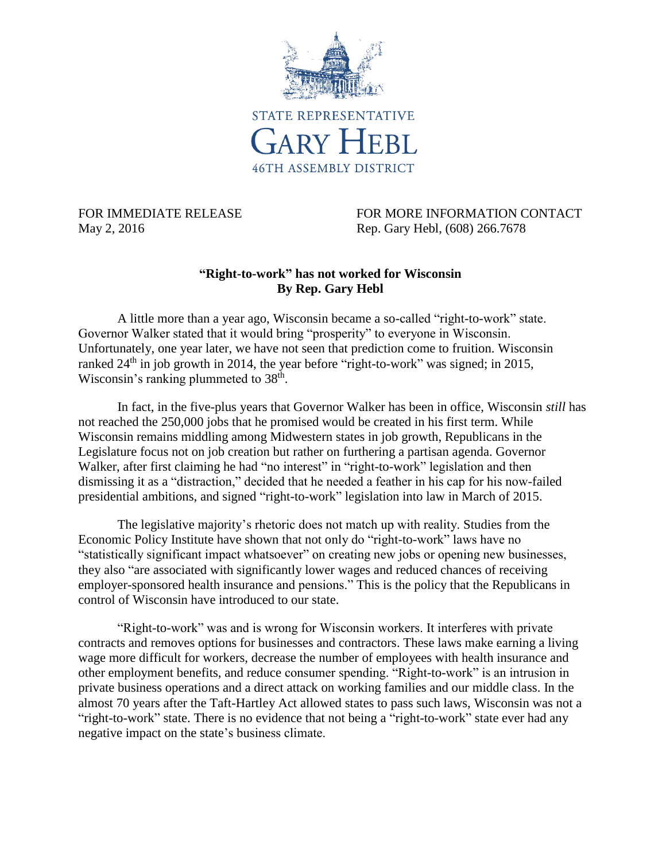

FOR IMMEDIATE RELEASE FOR MORE INFORMATION CONTACT May 2, 2016 **Rep. Gary Hebl, (608) 266.7678** 

## **"Right-to-work" has not worked for Wisconsin By Rep. Gary Hebl**

A little more than a year ago, Wisconsin became a so-called "right-to-work" state. Governor Walker stated that it would bring "prosperity" to everyone in Wisconsin. Unfortunately, one year later, we have not seen that prediction come to fruition. Wisconsin ranked  $24<sup>th</sup>$  in job growth in 2014, the year before "right-to-work" was signed; in 2015, Wisconsin's ranking plummeted to  $38<sup>th</sup>$ .

In fact, in the five-plus years that Governor Walker has been in office, Wisconsin *still* has not reached the 250,000 jobs that he promised would be created in his first term. While Wisconsin remains middling among Midwestern states in job growth, Republicans in the Legislature focus not on job creation but rather on furthering a partisan agenda. Governor Walker, after first claiming he had "no interest" in "right-to-work" legislation and then dismissing it as a "distraction," decided that he needed a feather in his cap for his now-failed presidential ambitions, and signed "right-to-work" legislation into law in March of 2015.

The legislative majority's rhetoric does not match up with reality. Studies from the Economic Policy Institute have shown that not only do "right-to-work" laws have no "statistically significant impact whatsoever" on creating new jobs or opening new businesses, they also "are associated with significantly lower wages and reduced chances of receiving employer-sponsored health insurance and pensions." This is the policy that the Republicans in control of Wisconsin have introduced to our state.

"Right-to-work" was and is wrong for Wisconsin workers. It interferes with private contracts and removes options for businesses and contractors. These laws make earning a living wage more difficult for workers, decrease the number of employees with health insurance and other employment benefits, and reduce consumer spending. "Right-to-work" is an intrusion in private business operations and a direct attack on working families and our middle class. In the almost 70 years after the Taft-Hartley Act allowed states to pass such laws, Wisconsin was not a "right-to-work" state. There is no evidence that not being a "right-to-work" state ever had any negative impact on the state's business climate.